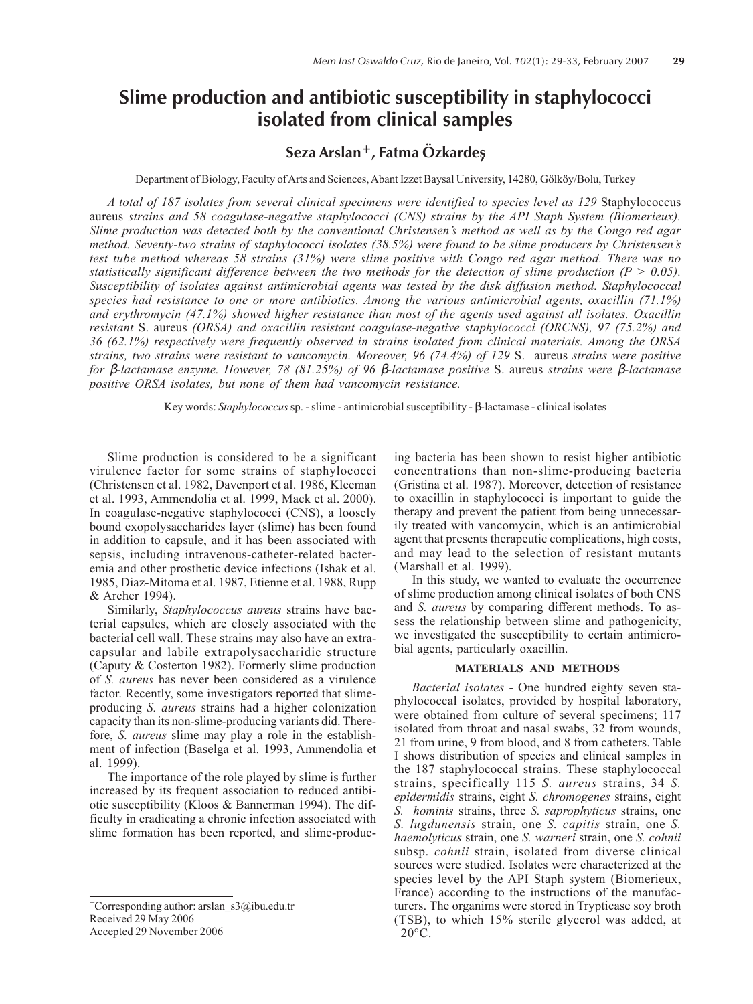# **Slime production and antibiotic susceptibility in staphylococci isolated from clinical samples**

# Seza Arslan<sup>+</sup>, Fatma Özkardeş

Department of Biology, Faculty of Arts and Sciences, Abant Izzet Baysal University, 14280, Gölköy/Bolu, Turkey

*A total of 187 isolates from several clinical specimens were identified to species level as 129* Staphylococcus aureus *strains and 58 coagulase-negative staphylococci (CNS) strains by the API Staph System (Biomerieux). Slime production was detected both by the conventional Christensenís method as well as by the Congo red agar method. Seventy-two strains of staphylococci isolates (38.5%) were found to be slime producers by Christensenís test tube method whereas 58 strains (31%) were slime positive with Congo red agar method. There was no statistically significant difference between the two methods for the detection of slime production (P > 0.05). Susceptibility of isolates against antimicrobial agents was tested by the disk diffusion method. Staphylococcal species had resistance to one or more antibiotics. Among the various antimicrobial agents, oxacillin (71.1%) and erythromycin (47.1%) showed higher resistance than most of the agents used against all isolates. Oxacillin resistant* S. aureus *(ORSA) and oxacillin resistant coagulase-negative staphylococci (ORCNS), 97 (75.2%) and 36 (62.1%) respectively were frequently observed in strains isolated from clinical materials. Among the ORSA strains, two strains were resistant to vancomycin. Moreover, 96 (74.4%) of 129* S. aureus *strains were positive for* β*-lactamase enzyme. However, 78 (81.25%) of 96* β*-lactamase positive* S. aureus *strains were* β*-lactamase positive ORSA isolates, but none of them had vancomycin resistance.*

Key words: *Staphylococcus* sp. - slime - antimicrobial susceptibility - β-lactamase - clinical isolates

Slime production is considered to be a significant virulence factor for some strains of staphylococci (Christensen et al. 1982, Davenport et al. 1986, Kleeman et al. 1993, Ammendolia et al. 1999, Mack et al. 2000). In coagulase-negative staphylococci (CNS), a loosely bound exopolysaccharides layer (slime) has been found in addition to capsule, and it has been associated with sepsis, including intravenous-catheter-related bacteremia and other prosthetic device infections (Ishak et al. 1985, Diaz-Mitoma et al. 1987, Etienne et al. 1988, Rupp & Archer 1994).

Similarly, *Staphylococcus aureus* strains have bacterial capsules, which are closely associated with the bacterial cell wall. These strains may also have an extracapsular and labile extrapolysaccharidic structure (Caputy & Costerton 1982). Formerly slime production of *S. aureus* has never been considered as a virulence factor. Recently, some investigators reported that slimeproducing *S. aureus* strains had a higher colonization capacity than its non-slime-producing variants did. Therefore, *S. aureus* slime may play a role in the establishment of infection (Baselga et al. 1993, Ammendolia et al. 1999).

The importance of the role played by slime is further increased by its frequent association to reduced antibiotic susceptibility (Kloos & Bannerman 1994). The difficulty in eradicating a chronic infection associated with slime formation has been reported, and slime-produc-

Received 29 May 2006 Accepted 29 November 2006 ing bacteria has been shown to resist higher antibiotic concentrations than non-slime-producing bacteria (Gristina et al. 1987). Moreover, detection of resistance to oxacillin in staphylococci is important to guide the therapy and prevent the patient from being unnecessarily treated with vancomycin, which is an antimicrobial agent that presents therapeutic complications, high costs, and may lead to the selection of resistant mutants (Marshall et al. 1999).

In this study, we wanted to evaluate the occurrence of slime production among clinical isolates of both CNS and *S. aureus* by comparing different methods. To assess the relationship between slime and pathogenicity, we investigated the susceptibility to certain antimicrobial agents, particularly oxacillin.

# **MATERIALS AND METHODS**

*Bacterial isolates* - One hundred eighty seven staphylococcal isolates, provided by hospital laboratory, were obtained from culture of several specimens; 117 isolated from throat and nasal swabs, 32 from wounds, 21 from urine, 9 from blood, and 8 from catheters. Table I shows distribution of species and clinical samples in the 187 staphylococcal strains. These staphylococcal strains, specifically 115 *S. aureus* strains, 34 *S. epidermidis* strains, eight *S. chromogenes* strains, eight *S. hominis* strains, three *S. saprophyticus* strains, one *S. lugdunensis* strain, one *S. capitis* strain, one *S. haemolyticus* strain, one *S. warneri* strain, one *S. cohnii* subsp. *cohnii* strain, isolated from diverse clinical sources were studied. Isolates were characterized at the species level by the API Staph system (Biomerieux, France) according to the instructions of the manufacturers. The organims were stored in Trypticase soy broth (TSB), to which 15% sterile glycerol was added, at  $-20$ °C.

<sup>+</sup>Corresponding author: arslan\_s3@ibu.edu.tr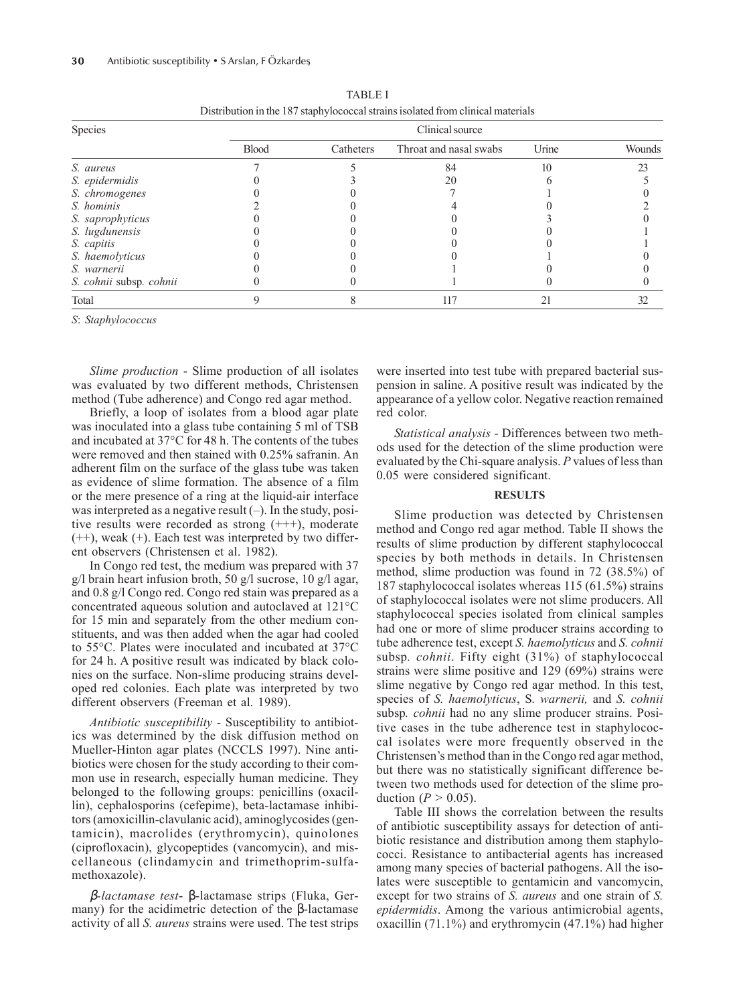| Species                 | Clinical source |           |                        |       |        |  |  |  |
|-------------------------|-----------------|-----------|------------------------|-------|--------|--|--|--|
|                         | <b>Blood</b>    | Catheters | Throat and nasal swabs | Urine | Wounds |  |  |  |
| S. aureus               |                 |           | 84                     | 10    | 23     |  |  |  |
| S. epidermidis          |                 |           | 20                     |       |        |  |  |  |
| S. chromogenes          |                 |           |                        |       |        |  |  |  |
| S. hominis              |                 |           |                        |       |        |  |  |  |
| S. saprophyticus        |                 |           |                        |       |        |  |  |  |
| S. lugdunensis          |                 |           |                        |       |        |  |  |  |
| S. capitis              |                 |           |                        |       |        |  |  |  |
| S. haemolyticus         |                 |           |                        |       |        |  |  |  |
| S. warnerii             |                 |           |                        |       |        |  |  |  |
| S. cohnii subsp. cohnii |                 |           |                        |       |        |  |  |  |
| Total                   |                 |           |                        |       |        |  |  |  |

TABLE I Distribution in the 187 staphylococcal strains isolated from clinical materials

*S*: *Staphylococcus*

*Slime production* - Slime production of all isolates was evaluated by two different methods, Christensen method (Tube adherence) and Congo red agar method.

Briefly, a loop of isolates from a blood agar plate was inoculated into a glass tube containing 5 ml of TSB and incubated at 37°C for 48 h. The contents of the tubes were removed and then stained with 0.25% safranin. An adherent film on the surface of the glass tube was taken as evidence of slime formation. The absence of a film or the mere presence of a ring at the liquid-air interface was interpreted as a negative result  $(-)$ . In the study, positive results were recorded as strong (+++), moderate  $(++)$ , weak  $(+)$ . Each test was interpreted by two different observers (Christensen et al. 1982).

In Congo red test, the medium was prepared with 37  $g$ /l brain heart infusion broth, 50  $g$ /l sucrose, 10  $g$ /l agar, and 0.8 g/l Congo red. Congo red stain was prepared as a concentrated aqueous solution and autoclaved at 121°C for 15 min and separately from the other medium constituents, and was then added when the agar had cooled to 55°C. Plates were inoculated and incubated at 37°C for 24 h. A positive result was indicated by black colonies on the surface. Non-slime producing strains developed red colonies. Each plate was interpreted by two different observers (Freeman et al. 1989).

*Antibiotic susceptibility* - Susceptibility to antibiotics was determined by the disk diffusion method on Mueller-Hinton agar plates (NCCLS 1997). Nine antibiotics were chosen for the study according to their common use in research, especially human medicine. They belonged to the following groups: penicillins (oxacillin), cephalosporins (cefepime), beta-lactamase inhibitors (amoxicillin-clavulanic acid), aminoglycosides (gentamicin), macrolides (erythromycin), quinolones (ciprofloxacin), glycopeptides (vancomycin), and miscellaneous (clindamycin and trimethoprim-sulfamethoxazole).

β*-lactamase test*- β-lactamase strips (Fluka, Germany) for the acidimetric detection of the β-lactamase activity of all *S. aureus* strains were used. The test strips were inserted into test tube with prepared bacterial suspension in saline. A positive result was indicated by the appearance of a yellow color. Negative reaction remained red color.

*Statistical analysis* - Differences between two methods used for the detection of the slime production were evaluated by the Chi-square analysis. *P* values of less than 0.05 were considered significant.

#### **RESULTS**

Slime production was detected by Christensen method and Congo red agar method. Table II shows the results of slime production by different staphylococcal species by both methods in details. In Christensen method, slime production was found in 72 (38.5%) of 187 staphylococcal isolates whereas 115 (61.5%) strains of staphylococcal isolates were not slime producers. All staphylococcal species isolated from clinical samples had one or more of slime producer strains according to tube adherence test, except *S. haemolyticus* and *S. cohnii* subsp*. cohnii*. Fifty eight (31%) of staphylococcal strains were slime positive and 129 (69%) strains were slime negative by Congo red agar method. In this test, species of *S. haemolyticus*, S*. warnerii,* and *S. cohnii* subsp*. cohnii* had no any slime producer strains. Positive cases in the tube adherence test in staphylococcal isolates were more frequently observed in the Christensen's method than in the Congo red agar method, but there was no statistically significant difference between two methods used for detection of the slime production  $(P > 0.05)$ .

Table III shows the correlation between the results of antibiotic susceptibility assays for detection of antibiotic resistance and distribution among them staphylococci. Resistance to antibacterial agents has increased among many species of bacterial pathogens. All the isolates were susceptible to gentamicin and vancomycin, except for two strains of *S. aureus* and one strain of *S. epidermidis*. Among the various antimicrobial agents, oxacillin (71.1%) and erythromycin (47.1%) had higher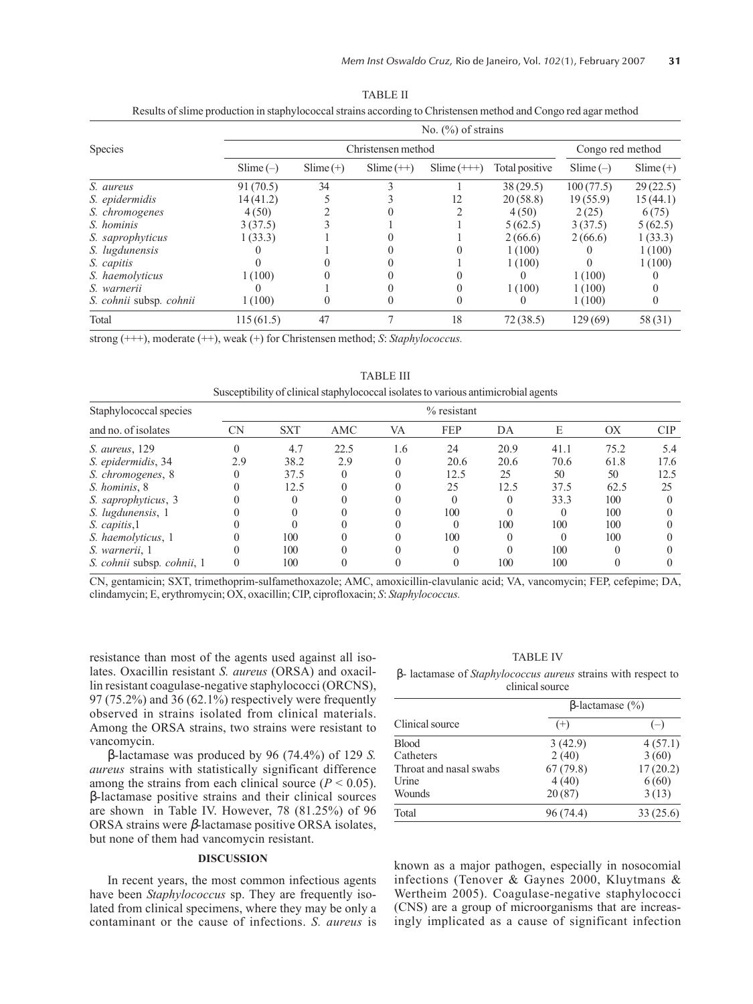|                         | No. $(\%)$ of strains |                  |                 |                 |                |                |            |  |  |
|-------------------------|-----------------------|------------------|-----------------|-----------------|----------------|----------------|------------|--|--|
| Species                 |                       | Congo red method |                 |                 |                |                |            |  |  |
|                         | $S$ lime $(-)$        | $Slime(+)$       | $S$ lime $(++)$ | $S$ lime $(++)$ | Total positive | $S$ lime $(-)$ | $Slime(+)$ |  |  |
| S. aureus               | 91(70.5)              | 34               |                 |                 | 38(29.5)       | 100(77.5)      | 29(22.5)   |  |  |
| S. epidermidis          | 14(41.2)              |                  |                 | 12              | 20(58.8)       | 19(55.9)       | 15(44.1)   |  |  |
| S. chromogenes          | 4(50)                 |                  |                 |                 | 4(50)          | 2(25)          | 6(75)      |  |  |
| S. hominis              | 3(37.5)               |                  |                 |                 | 5(62.5)        | 3(37.5)        | 5(62.5)    |  |  |
| S. saprophyticus        | 1(33.3)               |                  |                 |                 | 2(66.6)        | 2(66.6)        | 1(33.3)    |  |  |
| S. lugdunensis          |                       |                  |                 |                 | 1(100)         |                | 1(100)     |  |  |
| S. capitis              |                       |                  |                 |                 | 1(100)         |                | 1(100)     |  |  |
| S. haemolyticus         | 1(100)                |                  |                 |                 |                | 1 (100)        |            |  |  |
| S. warnerii             |                       |                  |                 |                 | 1(100)         | 1 (100)        |            |  |  |
| S. cohnii subsp. cohnii | 1(100)                |                  | 0               |                 |                | 1(100)         |            |  |  |
| Total                   | 115(61.5)             | 47               |                 | 18              | 72(38.5)       | 129 (69)       | 58(31)     |  |  |

TABLE II Results of slime production in staphylococcal strains according to Christensen method and Congo red agar method

strong (+++), moderate (++), weak (+) for Christensen method; *S*: *Staphylococcus.*

| Susceptibility of clinical staphylococcal isolates to various antimicrobial agents |                |            |          |     |            |      |      |           |            |
|------------------------------------------------------------------------------------|----------------|------------|----------|-----|------------|------|------|-----------|------------|
| Staphylococcal species<br>and no. of isolates                                      | $\%$ resistant |            |          |     |            |      |      |           |            |
|                                                                                    | <b>CN</b>      | <b>SXT</b> | AMC      | VA  | <b>FEP</b> | DA   | E    | <b>OX</b> | <b>CIP</b> |
| S. aureus, 129                                                                     |                | 4.7        | 22.5     | 1.6 | 24         | 20.9 | 41.1 | 75.2      | 5.4        |
| S. epidermidis, 34                                                                 | 2.9            | 38.2       | 2.9      |     | 20.6       | 20.6 | 70.6 | 61.8      | 17.6       |
| S. chromogenes, 8                                                                  |                | 37.5       | $\theta$ |     | 12.5       | 25   | 50   | 50        | 12.5       |
| S. hominis, 8                                                                      |                | 12.5       |          |     | 25         | 12.5 | 37.5 | 62.5      | 25         |
| S. saprophyticus, 3                                                                |                |            |          |     | $\theta$   |      | 33.3 | 100       | $\left($   |
| S. lugdunensis, 1                                                                  |                |            |          |     | 100        |      |      | 100       | $\theta$   |
| S. capitis, 1                                                                      |                |            |          |     |            | 100  | 100  | 100       | $\theta$   |
| S. haemolyticus, 1                                                                 |                | 100        |          |     | 100        |      |      | 100       | $\theta$   |
| S. warnerii, 1                                                                     |                | 100        |          |     |            |      | 100  |           | $\theta$   |
| S. cohnii subsp. cohnii, 1                                                         |                | 100        |          |     |            | 100  | 100  |           |            |

TABLE III

CN, gentamicin; SXT, trimethoprim-sulfamethoxazole; AMC, amoxicillin-clavulanic acid; VA, vancomycin; FEP, cefepime; DA, clindamycin; E, erythromycin; OX, oxacillin; CIP, ciprofloxacin; *S*: *Staphylococcus.*

resistance than most of the agents used against all isolates. Oxacillin resistant *S. aureus* (ORSA) and oxacillin resistant coagulase-negative staphylococci (ORCNS), 97 (75.2%) and 36 (62.1%) respectively were frequently observed in strains isolated from clinical materials. Among the ORSA strains, two strains were resistant to vancomycin.

β-lactamase was produced by 96 (74.4%) of 129 *S. aureus* strains with statistically significant difference among the strains from each clinical source  $(P < 0.05)$ . β-lactamase positive strains and their clinical sources are shown in Table IV. However, 78 (81.25%) of 96 ORSA strains were β-lactamase positive ORSA isolates, but none of them had vancomycin resistant.

# **DISCUSSION**

In recent years, the most common infectious agents have been *Staphylococcus* sp. They are frequently isolated from clinical specimens, where they may be only a contaminant or the cause of infections. *S. aureus* is

### TABLE IV

β- lactamase of *Staphylococcus aureus* strains with respect to clinical source

|                        | $\beta$ -lactamase $(\% )$ |          |  |  |
|------------------------|----------------------------|----------|--|--|
| Clinical source        | $^{(+)}$                   | $(-)$    |  |  |
| <b>Blood</b>           | 3(42.9)                    | 4(57.1)  |  |  |
| Catheters              | 2(40)                      | 3(60)    |  |  |
| Throat and nasal swabs | 67(79.8)                   | 17(20.2) |  |  |
| Urine                  | 4(40)                      | 6(60)    |  |  |
| Wounds                 | 20(87)                     | 3(13)    |  |  |
| Total                  | 96 (74.4)                  | 33(25.6) |  |  |

known as a major pathogen, especially in nosocomial infections (Tenover & Gaynes 2000, Kluytmans & Wertheim 2005). Coagulase-negative staphylococci (CNS) are a group of microorganisms that are increasingly implicated as a cause of significant infection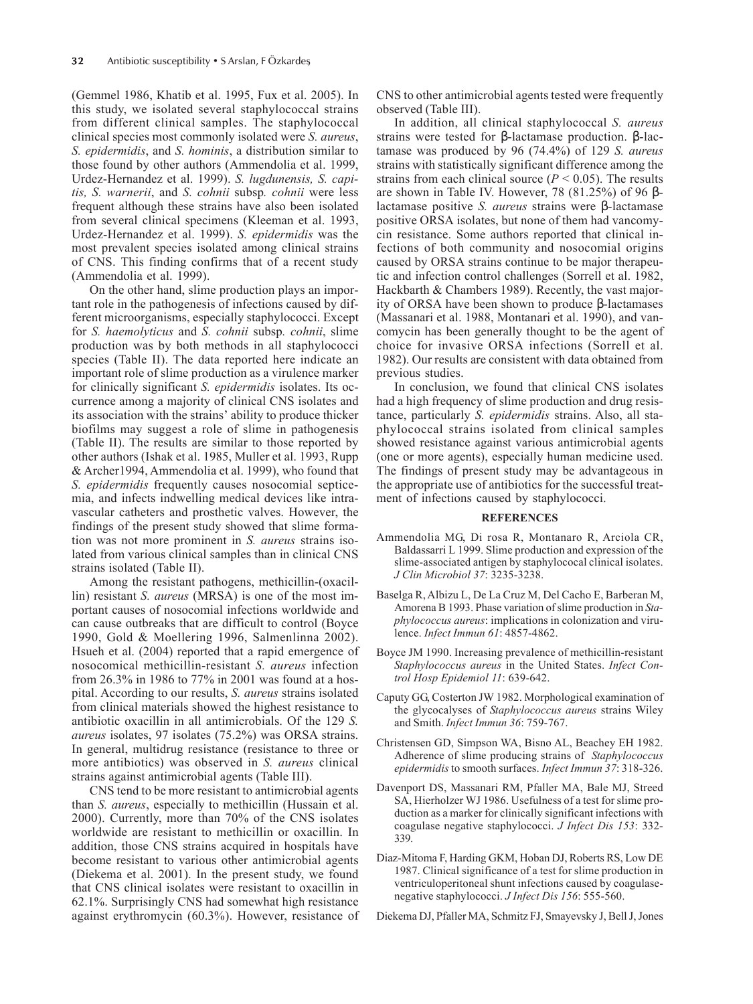(Gemmel 1986, Khatib et al. 1995, Fux et al. 2005). In this study, we isolated several staphylococcal strains from different clinical samples. The staphylococcal clinical species most commonly isolated were *S. aureus*, *S. epidermidis*, and *S. hominis*, a distribution similar to those found by other authors (Ammendolia et al. 1999, Urdez-Hernandez et al. 1999). *S. lugdunensis, S. capitis, S. warnerii*, and *S. cohnii* subsp*. cohnii* were less frequent although these strains have also been isolated from several clinical specimens (Kleeman et al. 1993, Urdez-Hernandez et al. 1999). *S. epidermidis* was the most prevalent species isolated among clinical strains of CNS. This finding confirms that of a recent study (Ammendolia et al. 1999).

On the other hand, slime production plays an important role in the pathogenesis of infections caused by different microorganisms, especially staphylococci. Except for *S. haemolyticus* and *S. cohnii* subsp*. cohnii*, slime production was by both methods in all staphylococci species (Table II). The data reported here indicate an important role of slime production as a virulence marker for clinically significant *S. epidermidis* isolates. Its occurrence among a majority of clinical CNS isolates and its association with the strains' ability to produce thicker biofilms may suggest a role of slime in pathogenesis (Table II). The results are similar to those reported by other authors (Ishak et al. 1985, Muller et al. 1993, Rupp & Archer1994, Ammendolia et al. 1999), who found that *S. epidermidis* frequently causes nosocomial septicemia, and infects indwelling medical devices like intravascular catheters and prosthetic valves. However, the findings of the present study showed that slime formation was not more prominent in *S. aureus* strains isolated from various clinical samples than in clinical CNS strains isolated (Table II).

Among the resistant pathogens, methicillin-(oxacillin) resistant *S. aureus* (MRSA) is one of the most important causes of nosocomial infections worldwide and can cause outbreaks that are difficult to control (Boyce 1990, Gold & Moellering 1996, Salmenlinna 2002). Hsueh et al. (2004) reported that a rapid emergence of nosocomical methicillin-resistant *S. aureus* infection from 26.3% in 1986 to 77% in 2001 was found at a hospital. According to our results, *S. aureus* strains isolated from clinical materials showed the highest resistance to antibiotic oxacillin in all antimicrobials. Of the 129 *S. aureus* isolates, 97 isolates (75.2%) was ORSA strains. In general, multidrug resistance (resistance to three or more antibiotics) was observed in *S. aureus* clinical strains against antimicrobial agents (Table III).

CNS tend to be more resistant to antimicrobial agents than *S. aureus*, especially to methicillin (Hussain et al. 2000). Currently, more than 70% of the CNS isolates worldwide are resistant to methicillin or oxacillin. In addition, those CNS strains acquired in hospitals have become resistant to various other antimicrobial agents (Diekema et al. 2001). In the present study, we found that CNS clinical isolates were resistant to oxacillin in 62.1%. Surprisingly CNS had somewhat high resistance against erythromycin (60.3%). However, resistance of CNS to other antimicrobial agents tested were frequently observed (Table III).

In addition, all clinical staphylococcal *S. aureus* strains were tested for β-lactamase production. β-lactamase was produced by 96 (74.4%) of 129 *S. aureus* strains with statistically significant difference among the strains from each clinical source  $(P < 0.05)$ . The results are shown in Table IV. However, 78 (81.25%) of 96 βlactamase positive *S. aureus* strains were β-lactamase positive ORSA isolates, but none of them had vancomycin resistance. Some authors reported that clinical infections of both community and nosocomial origins caused by ORSA strains continue to be major therapeutic and infection control challenges (Sorrell et al. 1982, Hackbarth & Chambers 1989). Recently, the vast majority of ORSA have been shown to produce β-lactamases (Massanari et al. 1988, Montanari et al. 1990), and vancomycin has been generally thought to be the agent of choice for invasive ORSA infections (Sorrell et al. 1982). Our results are consistent with data obtained from previous studies.

In conclusion, we found that clinical CNS isolates had a high frequency of slime production and drug resistance, particularly *S. epidermidis* strains. Also, all staphylococcal strains isolated from clinical samples showed resistance against various antimicrobial agents (one or more agents), especially human medicine used. The findings of present study may be advantageous in the appropriate use of antibiotics for the successful treatment of infections caused by staphylococci.

## **REFERENCES**

- Ammendolia MG, Di rosa R, Montanaro R, Arciola CR, Baldassarri L 1999. Slime production and expression of the slime-associated antigen by staphylococal clinical isolates. *J Clin Microbiol 37*: 3235-3238.
- Baselga R, Albizu L, De La Cruz M, Del Cacho E, Barberan M, Amorena B 1993. Phase variation of slime production in *Staphylococcus aureus*: implications in colonization and virulence. *Infect Immun 61*: 4857-4862.
- Boyce JM 1990. Increasing prevalence of methicillin-resistant *Staphylococcus aureus* in the United States. *Infect Control Hosp Epidemiol 11*: 639-642.
- Caputy GG, Costerton JW 1982. Morphological examination of the glycocalyses of *Staphylococcus aureus* strains Wiley and Smith. *Infect Immun 36*: 759-767.
- Christensen GD, Simpson WA, Bisno AL, Beachey EH 1982. Adherence of slime producing strains of *Staphylococcus epidermidis* to smooth surfaces. *Infect Immun 37*: 318-326.
- Davenport DS, Massanari RM, Pfaller MA, Bale MJ, Streed SA, Hierholzer WJ 1986. Usefulness of a test for slime production as a marker for clinically significant infections with coagulase negative staphylococci. *J Infect Dis 153*: 332- 339.
- Diaz-Mitoma F, Harding GKM, Hoban DJ, Roberts RS, Low DE 1987. Clinical significance of a test for slime production in ventriculoperitoneal shunt infections caused by coagulasenegative staphylococci. *J Infect Dis 156*: 555-560.

Diekema DJ, Pfaller MA, Schmitz FJ, Smayevsky J, Bell J, Jones